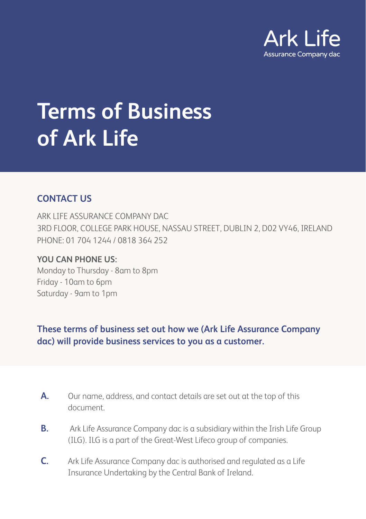

# **Terms of Business of Ark Life**

## **CONTACT US**

ARK LIFE ASSURANCE COMPANY DAC 3RD FLOOR, COLLEGE PARK HOUSE, NASSAU STREET, DUBLIN 2, D02 VY46, IRELAND PHONE: 01 704 1244 / 0818 364 252

## **YOU CAN PHONE US:**

Monday to Thursday - 8am to 8pm Friday - 10am to 6pm Saturday - 9am to 1pm

**These terms of business set out how we (Ark Life Assurance Company dac) will provide business services to you as a customer.**

- A. Our name, address, and contact details are set out at the top of this document.
- **B.** Ark Life Assurance Company dac is a subsidiary within the Irish Life Group (ILG). ILG is a part of the Great-West Lifeco group of companies.
- **C.** Ark Life Assurance Company dac is authorised and regulated as a Life Insurance Undertaking by the Central Bank of Ireland.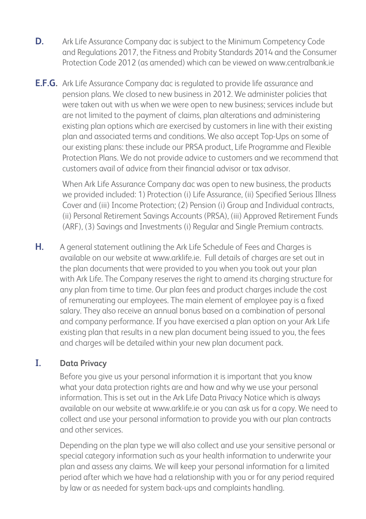- **D.** Ark Life Assurance Company dac is subject to the Minimum Competency Code and Regulations 2017, the Fitness and Probity Standards 2014 and the Consumer Protection Code 2012 (as amended) which can be viewed on www.centralbank.ie
- **E.F.G.** Ark Life Assurance Company dac is regulated to provide life assurance and pension plans. We closed to new business in 2012. We administer policies that were taken out with us when we were open to new business; services include but are not limited to the payment of claims, plan alterations and administering existing plan options which are exercised by customers in line with their existing plan and associated terms and conditions. We also accept Top-Ups on some of our existing plans: these include our PRSA product, Life Programme and Flexible Protection Plans. We do not provide advice to customers and we recommend that customers avail of advice from their financial advisor or tax advisor.

 When Ark Life Assurance Company dac was open to new business, the products we provided included: 1) Protection (i) Life Assurance, (ii) Specified Serious Illness Cover and (iii) Income Protection; (2) Pension (i) Group and Individual contracts, (ii) Personal Retirement Savings Accounts (PRSA), (iii) Approved Retirement Funds (ARF), (3) Savings and Investments (i) Regular and Single Premium contracts.

**H.** A general statement outlining the Ark Life Schedule of Fees and Charges is available on our website at www.arklife.ie. Full details of charges are set out in the plan documents that were provided to you when you took out your plan with Ark Life. The Company reserves the right to amend its charging structure for any plan from time to time. Our plan fees and product charges include the cost of remunerating our employees. The main element of employee pay is a fixed salary. They also receive an annual bonus based on a combination of personal and company performance. If you have exercised a plan option on your Ark Life existing plan that results in a new plan document being issued to you, the fees and charges will be detailed within your new plan document pack.

## **I. Data Privacy**

 Before you give us your personal information it is important that you know what your data protection rights are and how and why we use your personal information. This is set out in the Ark Life Data Privacy Notice which is always available on our website at www.arklife.ie or you can ask us for a copy. We need to collect and use your personal information to provide you with our plan contracts and other services.

 Depending on the plan type we will also collect and use your sensitive personal or special category information such as your health information to underwrite your plan and assess any claims. We will keep your personal information for a limited period after which we have had a relationship with you or for any period required by law or as needed for system back-ups and complaints handling.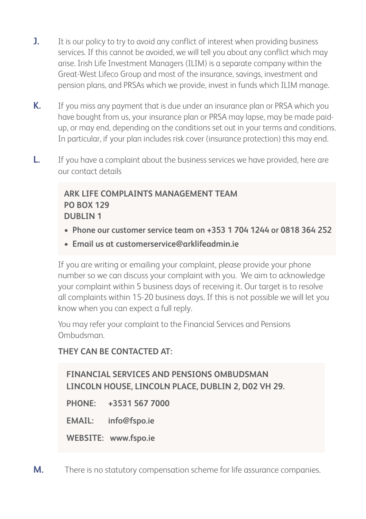- **J.** It is our policy to try to avoid any conflict of interest when providing business services. If this cannot be avoided, we will tell you about any conflict which may arise. Irish Life Investment Managers (ILIM) is a separate company within the Great-West Lifeco Group and most of the insurance, savings, investment and pension plans, and PRSAs which we provide, invest in funds which ILIM manage.
- **K.** If you miss any payment that is due under an insurance plan or PRSA which you have bought from us, your insurance plan or PRSA may lapse, may be made paidup, or may end, depending on the conditions set out in your terms and conditions. In particular, if your plan includes risk cover (insurance protection) this may end.
- **L.** If you have a complaint about the business services we have provided, here are our contact details

## **ARK LIFE COMPLAINTS MANAGEMENT TEAM PO BOX 129 DUBLIN 1**

- **Phone our customer service team on +353 1 704 1244 or 0818 364 252**
- **Email us at customerservice@arklifeadmin.ie**

If you are writing or emailing your complaint, please provide your phone number so we can discuss your complaint with you. We aim to acknowledge your complaint within 5 business days of receiving it. Our target is to resolve all complaints within 15-20 business days. If this is not possible we will let you know when you can expect a full reply.

You may refer your complaint to the Financial Services and Pensions Ombudsman.

## **THEY CAN BE CONTACTED AT:**

**FINANCIAL SERVICES AND PENSIONS OMBUDSMAN LINCOLN HOUSE, LINCOLN PLACE, DUBLIN 2, D02 VH 29. PHONE: +3531 567 7000 EMAIL: info@fspo.ie WEBSITE: www.fspo.ie**

**M.** There is no statutory compensation scheme for life assurance companies.